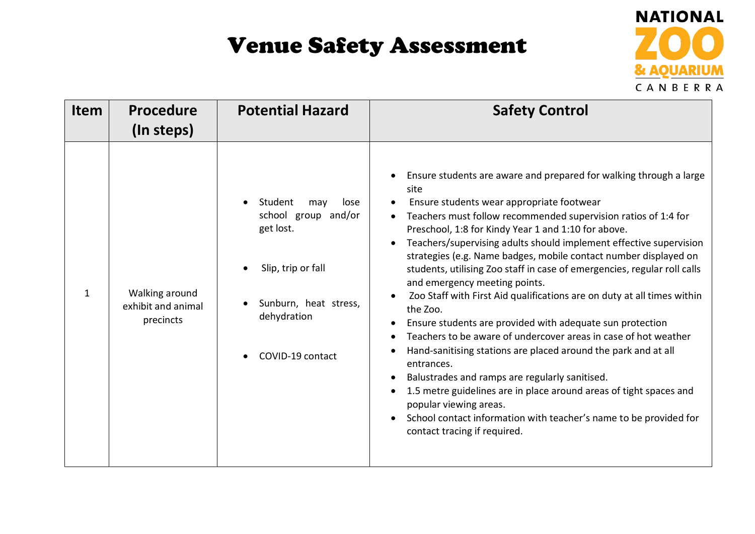

| <b>Item</b> | <b>Procedure</b><br>(In steps)                    | <b>Potential Hazard</b>                                                                                                                      | <b>Safety Control</b>                                                                                                                                                                                                                                                                                                                                                                                                                                                                                                                                                                                                                                                                                                                                                                                                                                                                                                                                                                                                                                                 |
|-------------|---------------------------------------------------|----------------------------------------------------------------------------------------------------------------------------------------------|-----------------------------------------------------------------------------------------------------------------------------------------------------------------------------------------------------------------------------------------------------------------------------------------------------------------------------------------------------------------------------------------------------------------------------------------------------------------------------------------------------------------------------------------------------------------------------------------------------------------------------------------------------------------------------------------------------------------------------------------------------------------------------------------------------------------------------------------------------------------------------------------------------------------------------------------------------------------------------------------------------------------------------------------------------------------------|
| 1           | Walking around<br>exhibit and animal<br>precincts | Student<br>may<br>lose<br>school group and/or<br>get lost.<br>Slip, trip or fall<br>Sunburn, heat stress,<br>dehydration<br>COVID-19 contact | Ensure students are aware and prepared for walking through a large<br>site<br>Ensure students wear appropriate footwear<br>Teachers must follow recommended supervision ratios of 1:4 for<br>Preschool, 1:8 for Kindy Year 1 and 1:10 for above.<br>Teachers/supervising adults should implement effective supervision<br>strategies (e.g. Name badges, mobile contact number displayed on<br>students, utilising Zoo staff in case of emergencies, regular roll calls<br>and emergency meeting points.<br>Zoo Staff with First Aid qualifications are on duty at all times within<br>the Zoo.<br>Ensure students are provided with adequate sun protection<br>Teachers to be aware of undercover areas in case of hot weather<br>Hand-sanitising stations are placed around the park and at all<br>entrances.<br>Balustrades and ramps are regularly sanitised.<br>1.5 metre guidelines are in place around areas of tight spaces and<br>popular viewing areas.<br>School contact information with teacher's name to be provided for<br>contact tracing if required. |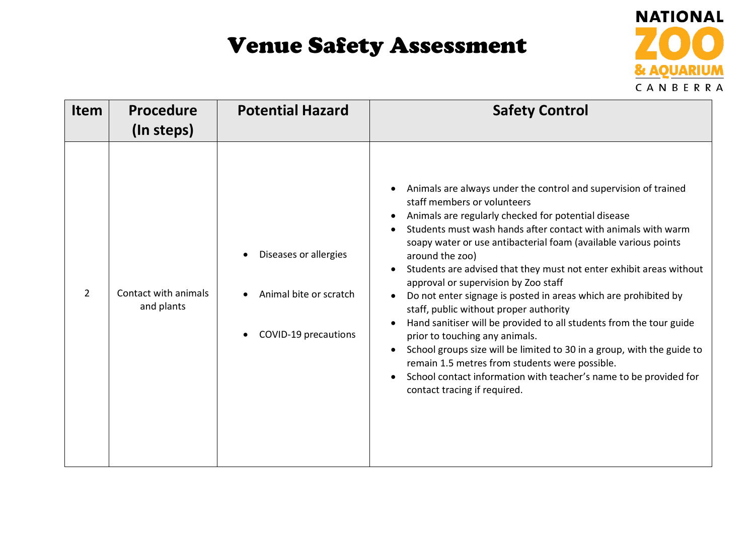

| <b>Item</b> | <b>Procedure</b><br>(In steps)     | <b>Potential Hazard</b>                                                 | <b>Safety Control</b>                                                                                                                                                                                                                                                                                                                                                                                                                                                                                                                                                                                                                                                                                                                                                                                                                                                              |
|-------------|------------------------------------|-------------------------------------------------------------------------|------------------------------------------------------------------------------------------------------------------------------------------------------------------------------------------------------------------------------------------------------------------------------------------------------------------------------------------------------------------------------------------------------------------------------------------------------------------------------------------------------------------------------------------------------------------------------------------------------------------------------------------------------------------------------------------------------------------------------------------------------------------------------------------------------------------------------------------------------------------------------------|
| 2           | Contact with animals<br>and plants | Diseases or allergies<br>Animal bite or scratch<br>COVID-19 precautions | Animals are always under the control and supervision of trained<br>staff members or volunteers<br>Animals are regularly checked for potential disease<br>Students must wash hands after contact with animals with warm<br>soapy water or use antibacterial foam (available various points<br>around the zoo)<br>Students are advised that they must not enter exhibit areas without<br>approval or supervision by Zoo staff<br>Do not enter signage is posted in areas which are prohibited by<br>staff, public without proper authority<br>Hand sanitiser will be provided to all students from the tour guide<br>prior to touching any animals.<br>School groups size will be limited to 30 in a group, with the guide to<br>remain 1.5 metres from students were possible.<br>School contact information with teacher's name to be provided for<br>contact tracing if required. |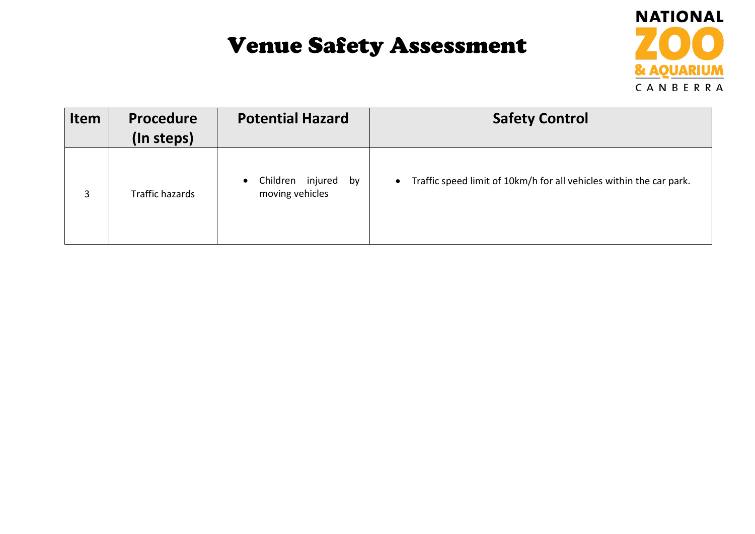

| Item | <b>Procedure</b><br>(In steps) | <b>Potential Hazard</b>                                | <b>Safety Control</b>                                                            |
|------|--------------------------------|--------------------------------------------------------|----------------------------------------------------------------------------------|
| 3    | Traffic hazards                | Children injured<br>by<br>$\bullet$<br>moving vehicles | Traffic speed limit of 10km/h for all vehicles within the car park.<br>$\bullet$ |